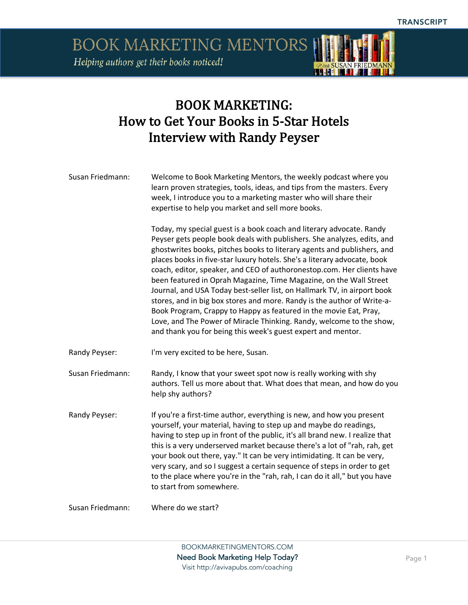**BOOK MARKETING MENTORS** Helping authors get their books noticed!



## BOOK MARKETING: How to Get Your Books in 5-Star Hotels Interview with Randy Peyser

Susan Friedmann: Welcome to Book Marketing Mentors, the weekly podcast where you learn proven strategies, tools, ideas, and tips from the masters. Every week, I introduce you to a marketing master who will share their expertise to help you market and sell more books.

> Today, my special guest is a book coach and literary advocate. Randy Peyser gets people book deals with publishers. She analyzes, edits, and ghostwrites books, pitches books to literary agents and publishers, and places books in five-star luxury hotels. She's a literary advocate, book coach, editor, speaker, and CEO of authoronestop.com. Her clients have been featured in Oprah Magazine, Time Magazine, on the Wall Street Journal, and USA Today best-seller list, on Hallmark TV, in airport book stores, and in big box stores and more. Randy is the author of Write-a-Book Program, Crappy to Happy as featured in the movie Eat, Pray, Love, and The Power of Miracle Thinking. Randy, welcome to the show, and thank you for being this week's guest expert and mentor.

- Randy Peyser: I'm very excited to be here, Susan.
- Susan Friedmann: Randy, I know that your sweet spot now is really working with shy authors. Tell us more about that. What does that mean, and how do you help shy authors?
- Randy Peyser: If you're a first-time author, everything is new, and how you present yourself, your material, having to step up and maybe do readings, having to step up in front of the public, it's all brand new. I realize that this is a very underserved market because there's a lot of "rah, rah, get your book out there, yay." It can be very intimidating. It can be very, very scary, and so I suggest a certain sequence of steps in order to get to the place where you're in the "rah, rah, I can do it all," but you have to start from somewhere.

Susan Friedmann: Where do we start?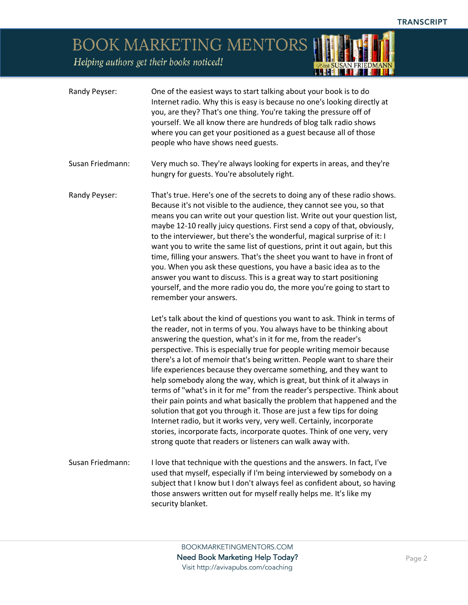## BOOK MARKETING MENTORS

| Randy Peyser:    | One of the easiest ways to start talking about your book is to do<br>Internet radio. Why this is easy is because no one's looking directly at<br>you, are they? That's one thing. You're taking the pressure off of<br>yourself. We all know there are hundreds of blog talk radio shows<br>where you can get your positioned as a guest because all of those<br>people who have shows need guests.                                                                                                                                                                                                                                                                                                                                                                                                                                                                                                                                                                         |
|------------------|-----------------------------------------------------------------------------------------------------------------------------------------------------------------------------------------------------------------------------------------------------------------------------------------------------------------------------------------------------------------------------------------------------------------------------------------------------------------------------------------------------------------------------------------------------------------------------------------------------------------------------------------------------------------------------------------------------------------------------------------------------------------------------------------------------------------------------------------------------------------------------------------------------------------------------------------------------------------------------|
| Susan Friedmann: | Very much so. They're always looking for experts in areas, and they're<br>hungry for guests. You're absolutely right.                                                                                                                                                                                                                                                                                                                                                                                                                                                                                                                                                                                                                                                                                                                                                                                                                                                       |
| Randy Peyser:    | That's true. Here's one of the secrets to doing any of these radio shows.<br>Because it's not visible to the audience, they cannot see you, so that<br>means you can write out your question list. Write out your question list,<br>maybe 12-10 really juicy questions. First send a copy of that, obviously,<br>to the interviewer, but there's the wonderful, magical surprise of it: I<br>want you to write the same list of questions, print it out again, but this<br>time, filling your answers. That's the sheet you want to have in front of<br>you. When you ask these questions, you have a basic idea as to the<br>answer you want to discuss. This is a great way to start positioning<br>yourself, and the more radio you do, the more you're going to start to<br>remember your answers.                                                                                                                                                                      |
|                  | Let's talk about the kind of questions you want to ask. Think in terms of<br>the reader, not in terms of you. You always have to be thinking about<br>answering the question, what's in it for me, from the reader's<br>perspective. This is especially true for people writing memoir because<br>there's a lot of memoir that's being written. People want to share their<br>life experiences because they overcame something, and they want to<br>help somebody along the way, which is great, but think of it always in<br>terms of "what's in it for me" from the reader's perspective. Think about<br>their pain points and what basically the problem that happened and the<br>solution that got you through it. Those are just a few tips for doing<br>Internet radio, but it works very, very well. Certainly, incorporate<br>stories, incorporate facts, incorporate quotes. Think of one very, very<br>strong quote that readers or listeners can walk away with. |
| Susan Friedmann: | I love that technique with the questions and the answers. In fact, I've<br>used that myself, especially if I'm being interviewed by somebody on a<br>subject that I know but I don't always feel as confident about, so having<br>those answers written out for myself really helps me. It's like my<br>security blanket.                                                                                                                                                                                                                                                                                                                                                                                                                                                                                                                                                                                                                                                   |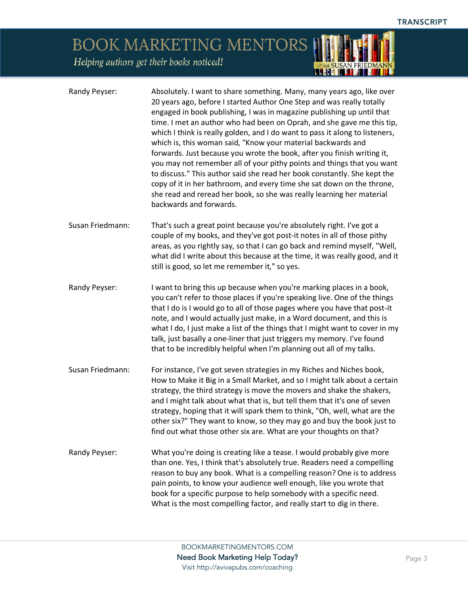## BOOK MARKETING MENTORS

| Randy Peyser:    | Absolutely. I want to share something. Many, many years ago, like over<br>20 years ago, before I started Author One Step and was really totally<br>engaged in book publishing, I was in magazine publishing up until that<br>time. I met an author who had been on Oprah, and she gave me this tip,<br>which I think is really golden, and I do want to pass it along to listeners,<br>which is, this woman said, "Know your material backwards and<br>forwards. Just because you wrote the book, after you finish writing it,<br>you may not remember all of your pithy points and things that you want<br>to discuss." This author said she read her book constantly. She kept the<br>copy of it in her bathroom, and every time she sat down on the throne,<br>she read and reread her book, so she was really learning her material<br>backwards and forwards. |
|------------------|--------------------------------------------------------------------------------------------------------------------------------------------------------------------------------------------------------------------------------------------------------------------------------------------------------------------------------------------------------------------------------------------------------------------------------------------------------------------------------------------------------------------------------------------------------------------------------------------------------------------------------------------------------------------------------------------------------------------------------------------------------------------------------------------------------------------------------------------------------------------|
| Susan Friedmann: | That's such a great point because you're absolutely right. I've got a<br>couple of my books, and they've got post-it notes in all of those pithy<br>areas, as you rightly say, so that I can go back and remind myself, "Well,<br>what did I write about this because at the time, it was really good, and it<br>still is good, so let me remember it," so yes.                                                                                                                                                                                                                                                                                                                                                                                                                                                                                                    |
| Randy Peyser:    | I want to bring this up because when you're marking places in a book,<br>you can't refer to those places if you're speaking live. One of the things<br>that I do is I would go to all of those pages where you have that post-it<br>note, and I would actually just make, in a Word document, and this is<br>what I do, I just make a list of the things that I might want to cover in my<br>talk, just basally a one-liner that just triggers my memory. I've found<br>that to be incredibly helpful when I'm planning out all of my talks.                                                                                                                                                                                                                                                                                                                       |
| Susan Friedmann: | For instance, I've got seven strategies in my Riches and Niches book,<br>How to Make it Big in a Small Market, and so I might talk about a certain<br>strategy, the third strategy is move the movers and shake the shakers,<br>and I might talk about what that is, but tell them that it's one of seven<br>strategy, hoping that it will spark them to think, "Oh, well, what are the<br>other six?" They want to know, so they may go and buy the book just to<br>find out what those other six are. What are your thoughts on that?                                                                                                                                                                                                                                                                                                                            |
| Randy Peyser:    | What you're doing is creating like a tease. I would probably give more<br>than one. Yes, I think that's absolutely true. Readers need a compelling<br>reason to buy any book. What is a compelling reason? One is to address<br>pain points, to know your audience well enough, like you wrote that<br>book for a specific purpose to help somebody with a specific need.<br>What is the most compelling factor, and really start to dig in there.                                                                                                                                                                                                                                                                                                                                                                                                                 |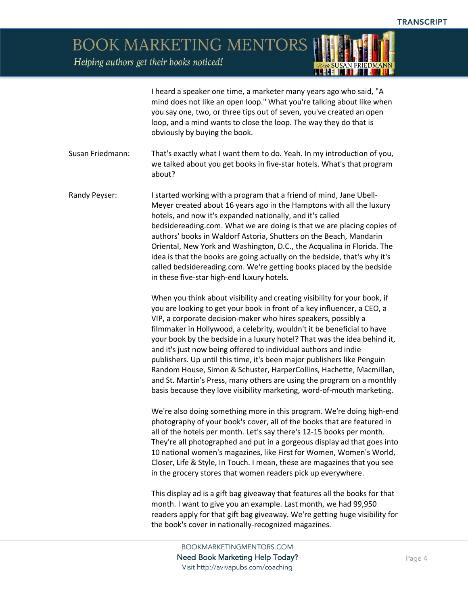BOOK MARKETING MENTORS

|                  | I heard a speaker one time, a marketer many years ago who said, "A<br>mind does not like an open loop." What you're talking about like when<br>you say one, two, or three tips out of seven, you've created an open<br>loop, and a mind wants to close the loop. The way they do that is<br>obviously by buying the book.                                                                                                                                                                                                                                                                                                                                                                                                                             |
|------------------|-------------------------------------------------------------------------------------------------------------------------------------------------------------------------------------------------------------------------------------------------------------------------------------------------------------------------------------------------------------------------------------------------------------------------------------------------------------------------------------------------------------------------------------------------------------------------------------------------------------------------------------------------------------------------------------------------------------------------------------------------------|
| Susan Friedmann: | That's exactly what I want them to do. Yeah. In my introduction of you,<br>we talked about you get books in five-star hotels. What's that program<br>about?                                                                                                                                                                                                                                                                                                                                                                                                                                                                                                                                                                                           |
| Randy Peyser:    | I started working with a program that a friend of mind, Jane Ubell-<br>Meyer created about 16 years ago in the Hamptons with all the luxury<br>hotels, and now it's expanded nationally, and it's called<br>bedsidereading.com. What we are doing is that we are placing copies of<br>authors' books in Waldorf Astoria, Shutters on the Beach, Mandarin<br>Oriental, New York and Washington, D.C., the Acqualina in Florida. The<br>idea is that the books are going actually on the bedside, that's why it's<br>called bedsidereading.com. We're getting books placed by the bedside<br>in these five-star high-end luxury hotels.                                                                                                                 |
|                  | When you think about visibility and creating visibility for your book, if<br>you are looking to get your book in front of a key influencer, a CEO, a<br>VIP, a corporate decision-maker who hires speakers, possibly a<br>filmmaker in Hollywood, a celebrity, wouldn't it be beneficial to have<br>your book by the bedside in a luxury hotel? That was the idea behind it,<br>and it's just now being offered to individual authors and indie<br>publishers. Up until this time, it's been major publishers like Penguin<br>Random House, Simon & Schuster, HarperCollins, Hachette, Macmillan,<br>and St. Martin's Press, many others are using the program on a monthly<br>basis because they love visibility marketing, word-of-mouth marketing. |
|                  | We're also doing something more in this program. We're doing high-end<br>photography of your book's cover, all of the books that are featured in<br>all of the hotels per month. Let's say there's 12-15 books per month.<br>They're all photographed and put in a gorgeous display ad that goes into<br>10 national women's magazines, like First for Women, Women's World,<br>Closer, Life & Style, In Touch. I mean, these are magazines that you see<br>in the grocery stores that women readers pick up everywhere.                                                                                                                                                                                                                              |
|                  | This display ad is a gift bag giveaway that features all the books for that<br>month. I want to give you an example. Last month, we had 99,950<br>readers apply for that gift bag giveaway. We're getting huge visibility for<br>the book's cover in nationally-recognized magazines.                                                                                                                                                                                                                                                                                                                                                                                                                                                                 |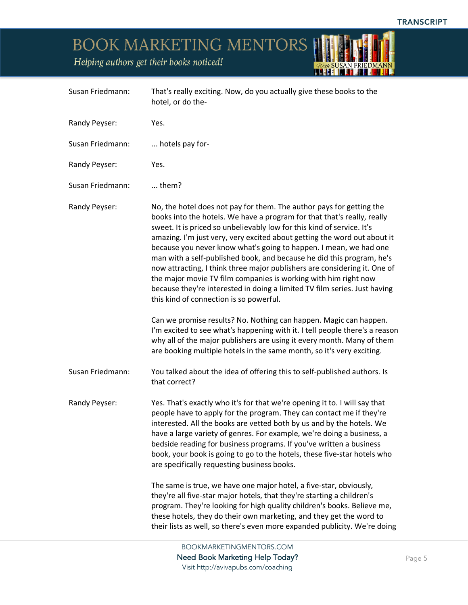BOOK MARKETING MENTORS HILLETS IT

| Helping authors get their books noticed!<br>With SUSAN FRIEDMANN<br><b>REFILE MELL</b> |                  |                                                                                                                                                                                                                                                                                                                                                                                                                                                                                                                                                                                                                                                                                                                             |
|----------------------------------------------------------------------------------------|------------------|-----------------------------------------------------------------------------------------------------------------------------------------------------------------------------------------------------------------------------------------------------------------------------------------------------------------------------------------------------------------------------------------------------------------------------------------------------------------------------------------------------------------------------------------------------------------------------------------------------------------------------------------------------------------------------------------------------------------------------|
|                                                                                        | Susan Friedmann: | That's really exciting. Now, do you actually give these books to the<br>hotel, or do the-                                                                                                                                                                                                                                                                                                                                                                                                                                                                                                                                                                                                                                   |
|                                                                                        | Randy Peyser:    | Yes.                                                                                                                                                                                                                                                                                                                                                                                                                                                                                                                                                                                                                                                                                                                        |
|                                                                                        | Susan Friedmann: | hotels pay for-                                                                                                                                                                                                                                                                                                                                                                                                                                                                                                                                                                                                                                                                                                             |
|                                                                                        | Randy Peyser:    | Yes.                                                                                                                                                                                                                                                                                                                                                                                                                                                                                                                                                                                                                                                                                                                        |
|                                                                                        | Susan Friedmann: | $$ them?                                                                                                                                                                                                                                                                                                                                                                                                                                                                                                                                                                                                                                                                                                                    |
|                                                                                        | Randy Peyser:    | No, the hotel does not pay for them. The author pays for getting the<br>books into the hotels. We have a program for that that's really, really<br>sweet. It is priced so unbelievably low for this kind of service. It's<br>amazing. I'm just very, very excited about getting the word out about it<br>because you never know what's going to happen. I mean, we had one<br>man with a self-published book, and because he did this program, he's<br>now attracting, I think three major publishers are considering it. One of<br>the major movie TV film companies is working with him right now<br>because they're interested in doing a limited TV film series. Just having<br>this kind of connection is so powerful. |
|                                                                                        |                  | Can we promise results? No. Nothing can happen. Magic can happen.<br>I'm excited to see what's happening with it. I tell people there's a reason<br>why all of the major publishers are using it every month. Many of them<br>are booking multiple hotels in the same month, so it's very exciting.                                                                                                                                                                                                                                                                                                                                                                                                                         |
|                                                                                        | Susan Friedmann: | You talked about the idea of offering this to self-published authors. Is<br>that correct?                                                                                                                                                                                                                                                                                                                                                                                                                                                                                                                                                                                                                                   |
|                                                                                        | Randy Peyser:    | Yes. That's exactly who it's for that we're opening it to. I will say that<br>people have to apply for the program. They can contact me if they're<br>interested. All the books are vetted both by us and by the hotels. We<br>have a large variety of genres. For example, we're doing a business, a<br>bedside reading for business programs. If you've written a business<br>book, your book is going to go to the hotels, these five-star hotels who<br>are specifically requesting business books.                                                                                                                                                                                                                     |
|                                                                                        |                  | The same is true, we have one major hotel, a five-star, obviously,                                                                                                                                                                                                                                                                                                                                                                                                                                                                                                                                                                                                                                                          |

they're all five-star major hotels, that they're starting a children's program. They're looking for high quality children's books. Believe me, these hotels, they do their own marketing, and they get the word to their lists as well, so there's even more expanded publicity. We're doing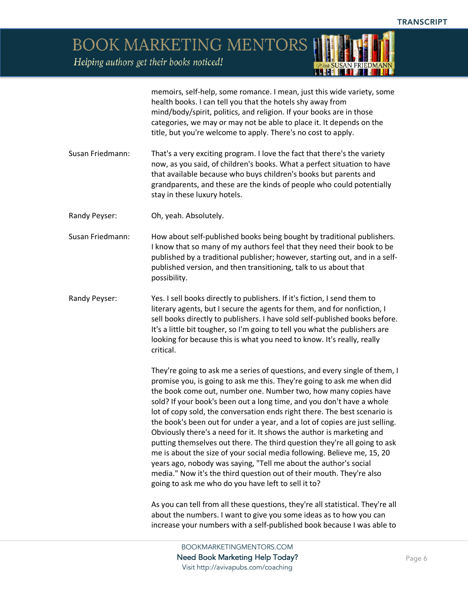**BOOK MARKETING MENTORS** 

Helping authors get their books noticed!

memoirs, self-help, some romance. I mean, just this wide variety, some health books. I can tell you that the hotels shy away from mind/body/spirit, politics, and religion. If your books are in those categories, we may or may not be able to place it. It depends on the title, but you're welcome to apply. There's no cost to apply.

- Susan Friedmann: That's a very exciting program. I love the fact that there's the variety now, as you said, of children's books. What a perfect situation to have that available because who buys children's books but parents and grandparents, and these are the kinds of people who could potentially stay in these luxury hotels.
- Randy Peyser: Oh, yeah. Absolutely.
- Susan Friedmann: How about self-published books being bought by traditional publishers. I know that so many of my authors feel that they need their book to be published by a traditional publisher; however, starting out, and in a selfpublished version, and then transitioning, talk to us about that possibility.
- Randy Peyser: Yes. I sell books directly to publishers. If it's fiction, I send them to literary agents, but I secure the agents for them, and for nonfiction, I sell books directly to publishers. I have sold self-published books before. It's a little bit tougher, so I'm going to tell you what the publishers are looking for because this is what you need to know. It's really, really critical.

They're going to ask me a series of questions, and every single of them, I promise you, is going to ask me this. They're going to ask me when did the book come out, number one. Number two, how many copies have sold? If your book's been out a long time, and you don't have a whole lot of copy sold, the conversation ends right there. The best scenario is the book's been out for under a year, and a lot of copies are just selling. Obviously there's a need for it. It shows the author is marketing and putting themselves out there. The third question they're all going to ask me is about the size of your social media following. Believe me, 15, 20 years ago, nobody was saying, "Tell me about the author's social media." Now it's the third question out of their mouth. They're also going to ask me who do you have left to sell it to?

As you can tell from all these questions, they're all statistical. They're all about the numbers. I want to give you some ideas as to how you can increase your numbers with a self-published book because I was able to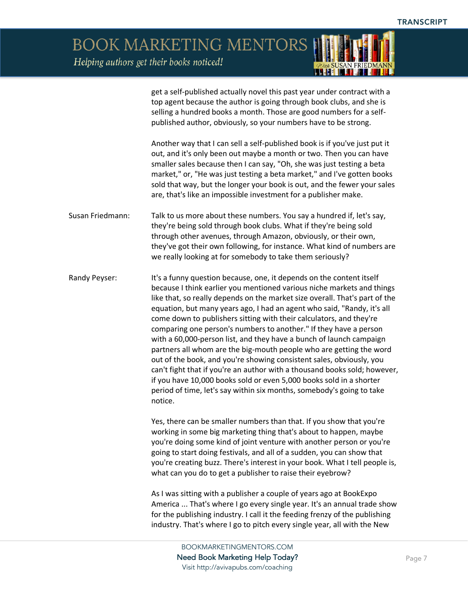**BOOK MARKETING MENTORS** 

Helping authors get their books noticed!

get a self-published actually novel this past year under contract with a top agent because the author is going through book clubs, and she is selling a hundred books a month. Those are good numbers for a selfpublished author, obviously, so your numbers have to be strong.

Another way that I can sell a self-published book is if you've just put it out, and it's only been out maybe a month or two. Then you can have smaller sales because then I can say, "Oh, she was just testing a beta market," or, "He was just testing a beta market," and I've gotten books sold that way, but the longer your book is out, and the fewer your sales are, that's like an impossible investment for a publisher make.

Susan Friedmann: Talk to us more about these numbers. You say a hundred if, let's say, they're being sold through book clubs. What if they're being sold through other avenues, through Amazon, obviously, or their own, they've got their own following, for instance. What kind of numbers are we really looking at for somebody to take them seriously?

Randy Peyser: It's a funny question because, one, it depends on the content itself because I think earlier you mentioned various niche markets and things like that, so really depends on the market size overall. That's part of the equation, but many years ago, I had an agent who said, "Randy, it's all come down to publishers sitting with their calculators, and they're comparing one person's numbers to another." If they have a person with a 60,000-person list, and they have a bunch of launch campaign partners all whom are the big-mouth people who are getting the word out of the book, and you're showing consistent sales, obviously, you can't fight that if you're an author with a thousand books sold; however, if you have 10,000 books sold or even 5,000 books sold in a shorter period of time, let's say within six months, somebody's going to take notice.

> Yes, there can be smaller numbers than that. If you show that you're working in some big marketing thing that's about to happen, maybe you're doing some kind of joint venture with another person or you're going to start doing festivals, and all of a sudden, you can show that you're creating buzz. There's interest in your book. What I tell people is, what can you do to get a publisher to raise their eyebrow?

> As I was sitting with a publisher a couple of years ago at BookExpo America ... That's where I go every single year. It's an annual trade show for the publishing industry. I call it the feeding frenzy of the publishing industry. That's where I go to pitch every single year, all with the New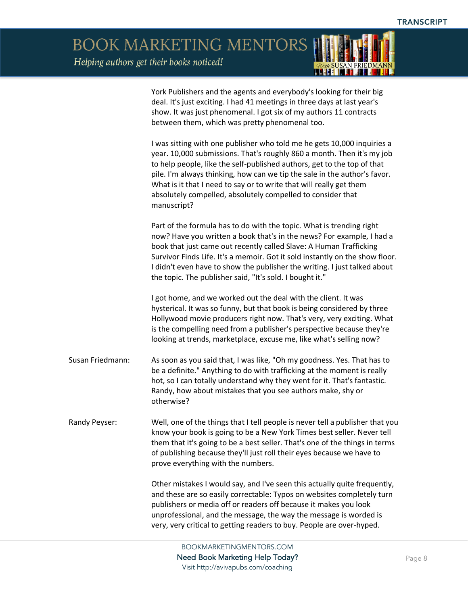*ODuch SUSAN FRIEDMAN* 

BOOK MARKETING MENTORS

|                  | York Publishers and the agents and everybody's looking for their big<br>deal. It's just exciting. I had 41 meetings in three days at last year's<br>show. It was just phenomenal. I got six of my authors 11 contracts<br>between them, which was pretty phenomenal too.                                                                                                                                                                                       |
|------------------|----------------------------------------------------------------------------------------------------------------------------------------------------------------------------------------------------------------------------------------------------------------------------------------------------------------------------------------------------------------------------------------------------------------------------------------------------------------|
|                  | I was sitting with one publisher who told me he gets 10,000 inquiries a<br>year. 10,000 submissions. That's roughly 860 a month. Then it's my job<br>to help people, like the self-published authors, get to the top of that<br>pile. I'm always thinking, how can we tip the sale in the author's favor.<br>What is it that I need to say or to write that will really get them<br>absolutely compelled, absolutely compelled to consider that<br>manuscript? |
|                  | Part of the formula has to do with the topic. What is trending right<br>now? Have you written a book that's in the news? For example, I had a<br>book that just came out recently called Slave: A Human Trafficking<br>Survivor Finds Life. It's a memoir. Got it sold instantly on the show floor.<br>I didn't even have to show the publisher the writing. I just talked about<br>the topic. The publisher said, "It's sold. I bought it."                   |
|                  | I got home, and we worked out the deal with the client. It was<br>hysterical. It was so funny, but that book is being considered by three<br>Hollywood movie producers right now. That's very, very exciting. What<br>is the compelling need from a publisher's perspective because they're<br>looking at trends, marketplace, excuse me, like what's selling now?                                                                                             |
| Susan Friedmann: | As soon as you said that, I was like, "Oh my goodness. Yes. That has to<br>be a definite." Anything to do with trafficking at the moment is really<br>hot, so I can totally understand why they went for it. That's fantastic.<br>Randy, how about mistakes that you see authors make, shy or<br>otherwise?                                                                                                                                                    |
| Randy Peyser:    | Well, one of the things that I tell people is never tell a publisher that you<br>know your book is going to be a New York Times best seller. Never tell<br>them that it's going to be a best seller. That's one of the things in terms<br>of publishing because they'll just roll their eyes because we have to<br>prove everything with the numbers.                                                                                                          |
|                  | Other mistakes I would say, and I've seen this actually quite frequently,<br>and these are so easily correctable: Typos on websites completely turn<br>publishers or media off or readers off because it makes you look<br>unprofessional, and the message, the way the message is worded is<br>very, very critical to getting readers to buy. People are over-hyped.                                                                                          |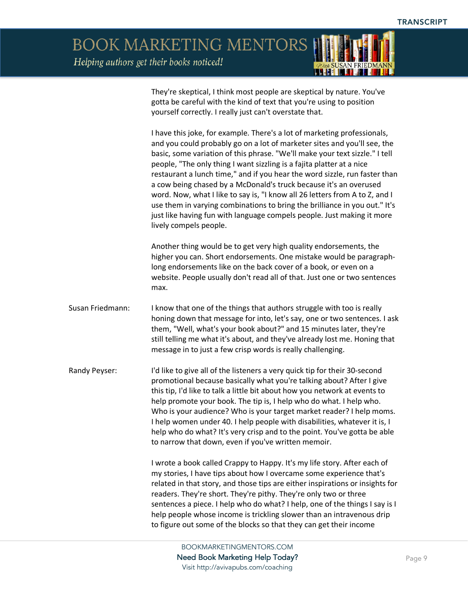BOOK MARKETING MENTORS

|                  | They're skeptical, I think most people are skeptical by nature. You've<br>gotta be careful with the kind of text that you're using to position<br>yourself correctly. I really just can't overstate that.                                                                                                                                                                                                                                                                                                                                                                                                                                                                                                                        |
|------------------|----------------------------------------------------------------------------------------------------------------------------------------------------------------------------------------------------------------------------------------------------------------------------------------------------------------------------------------------------------------------------------------------------------------------------------------------------------------------------------------------------------------------------------------------------------------------------------------------------------------------------------------------------------------------------------------------------------------------------------|
|                  | I have this joke, for example. There's a lot of marketing professionals,<br>and you could probably go on a lot of marketer sites and you'll see, the<br>basic, some variation of this phrase. "We'll make your text sizzle." I tell<br>people, "The only thing I want sizzling is a fajita platter at a nice<br>restaurant a lunch time," and if you hear the word sizzle, run faster than<br>a cow being chased by a McDonald's truck because it's an overused<br>word. Now, what I like to say is, "I know all 26 letters from A to Z, and I<br>use them in varying combinations to bring the brilliance in you out." It's<br>just like having fun with language compels people. Just making it more<br>lively compels people. |
|                  | Another thing would be to get very high quality endorsements, the<br>higher you can. Short endorsements. One mistake would be paragraph-<br>long endorsements like on the back cover of a book, or even on a<br>website. People usually don't read all of that. Just one or two sentences<br>max.                                                                                                                                                                                                                                                                                                                                                                                                                                |
| Susan Friedmann: | I know that one of the things that authors struggle with too is really<br>honing down that message for into, let's say, one or two sentences. I ask<br>them, "Well, what's your book about?" and 15 minutes later, they're<br>still telling me what it's about, and they've already lost me. Honing that<br>message in to just a few crisp words is really challenging.                                                                                                                                                                                                                                                                                                                                                          |
| Randy Peyser:    | I'd like to give all of the listeners a very quick tip for their 30-second<br>promotional because basically what you're talking about? After I give<br>this tip, I'd like to talk a little bit about how you network at events to<br>help promote your book. The tip is, I help who do what. I help who.<br>Who is your audience? Who is your target market reader? I help moms.<br>I help women under 40. I help people with disabilities, whatever it is, I<br>help who do what? It's very crisp and to the point. You've gotta be able<br>to narrow that down, even if you've written memoir.                                                                                                                                 |
|                  | I wrote a book called Crappy to Happy. It's my life story. After each of<br>my stories, I have tips about how I overcame some experience that's<br>related in that story, and those tips are either inspirations or insights for<br>readers. They're short. They're pithy. They're only two or three<br>sentences a piece. I help who do what? I help, one of the things I say is I<br>help people whose income is trickling slower than an intravenous drip<br>to figure out some of the blocks so that they can get their income                                                                                                                                                                                               |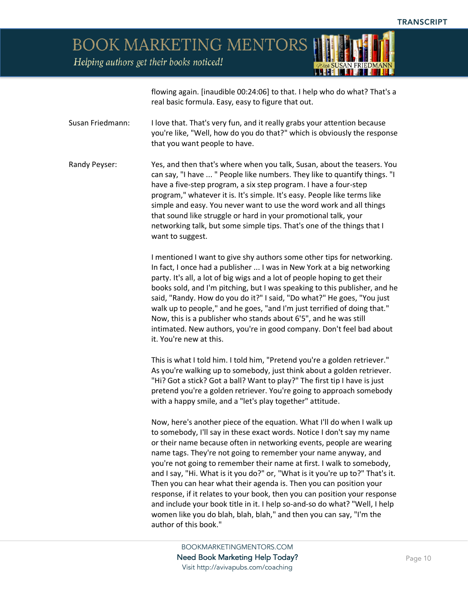**BOOK MARKETING MENTORS** 

Helping authors get their books noticed!

flowing again. [inaudible 00:24:06] to that. I help who do what? That's a real basic formula. Easy, easy to figure that out.

Susan Friedmann: I love that. That's very fun, and it really grabs your attention because you're like, "Well, how do you do that?" which is obviously the response that you want people to have.

Randy Peyser: Yes, and then that's where when you talk, Susan, about the teasers. You can say, "I have ... " People like numbers. They like to quantify things. "I have a five-step program, a six step program. I have a four-step program," whatever it is. It's simple. It's easy. People like terms like simple and easy. You never want to use the word work and all things that sound like struggle or hard in your promotional talk, your networking talk, but some simple tips. That's one of the things that I want to suggest.

> I mentioned I want to give shy authors some other tips for networking. In fact, I once had a publisher ... I was in New York at a big networking party. It's all, a lot of big wigs and a lot of people hoping to get their books sold, and I'm pitching, but I was speaking to this publisher, and he said, "Randy. How do you do it?" I said, "Do what?" He goes, "You just walk up to people," and he goes, "and I'm just terrified of doing that." Now, this is a publisher who stands about 6'5", and he was still intimated. New authors, you're in good company. Don't feel bad about it. You're new at this.

This is what I told him. I told him, "Pretend you're a golden retriever." As you're walking up to somebody, just think about a golden retriever. "Hi? Got a stick? Got a ball? Want to play?" The first tip I have is just pretend you're a golden retriever. You're going to approach somebody with a happy smile, and a "let's play together" attitude.

Now, here's another piece of the equation. What I'll do when I walk up to somebody, I'll say in these exact words. Notice I don't say my name or their name because often in networking events, people are wearing name tags. They're not going to remember your name anyway, and you're not going to remember their name at first. I walk to somebody, and I say, "Hi. What is it you do?" or, "What is it you're up to?" That's it. Then you can hear what their agenda is. Then you can position your response, if it relates to your book, then you can position your response and include your book title in it. I help so-and-so do what? "Well, I help women like you do blah, blah, blah," and then you can say, "I'm the author of this book."